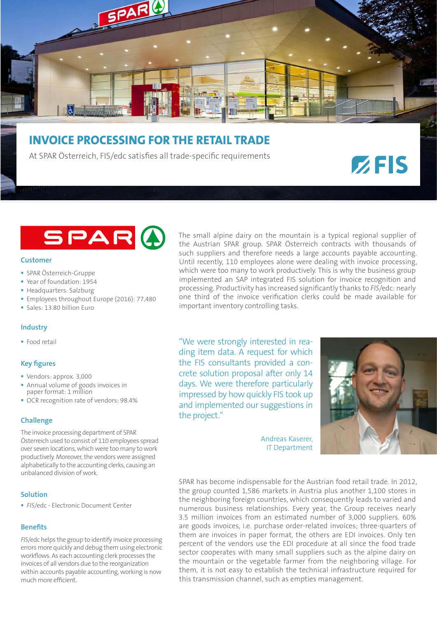

# **INVOICE PROCESSING FOR THE RETAIL TRADE**

At SPAR Österreich, FIS/edc satisfies all trade-specific requirements

# SPARO

#### **Customer**

- SPAR Österreich-Gruppe
- Year of foundation: 1954
- **Headquarters: Salzburg**
- **Employees throughout Europe (2016): 77,480**
- Sales: 13.80 billion Euro

# **Industry**

**Food retail** 

# **Key figures**

- Vendors: approx. 3,000
- Annual volume of goods invoices in paper format: 1 million
- OCR recognition rate of vendors: 98.4%

# **Challenge**

The invoice processing department of SPAR Österreich used to consist of 110 employees spread over seven locations, which were too many to work productively. Moreover, the vendors were assigned alphabetically to the accounting clerks, causing an unbalanced division of work.

# **Solution**

*FIS*/edc - Electronic Document Center

# **Benefits**

*FIS*/edc helps the group to identify invoice processing errors more quickly and debug them using electronic workflows. As each accounting clerk processes the invoices of all vendors due to the reorganization within accounts payable accounting, working is now much more efficient.

The small alpine dairy on the mountain is a typical regional supplier of the Austrian SPAR group. SPAR Österreich contracts with thousands of such suppliers and therefore needs a large accounts payable accounting. Until recently, 110 employees alone were dealing with invoice processing, which were too many to work productively. This is why the business group implemented an SAP integrated FIS solution for invoice recognition and processing. Productivity has increased significantly thanks to *FIS*/edc: nearly one third of the invoice verification clerks could be made available for important inventory controlling tasks.

"We were strongly interested in reading item data. A request for which the FIS consultants provided a concrete solution proposal after only 14 days. We were therefore particularly impressed by how quickly FIS took up and implemented our suggestions in the project."



 $Z$ FIS

Andreas Kaserer, IT Department

SPAR has become indispensable for the Austrian food retail trade. In 2012, the group counted 1,586 markets in Austria plus another 1,100 stores in the neighboring foreign countries, which consequently leads to varied and numerous business relationships. Every year, the Group receives nearly 3.5 million invoices from an estimated number of 3,000 suppliers. 60% are goods invoices, i.e. purchase order-related invoices; three-quarters of them are invoices in paper format, the others are EDI invoices. Only ten percent of the vendors use the EDI procedure at all since the food trade sector cooperates with many small suppliers such as the alpine dairy on the mountain or the vegetable farmer from the neighboring village. For them, it is not easy to establish the technical infrastructure required for this transmission channel, such as empties management.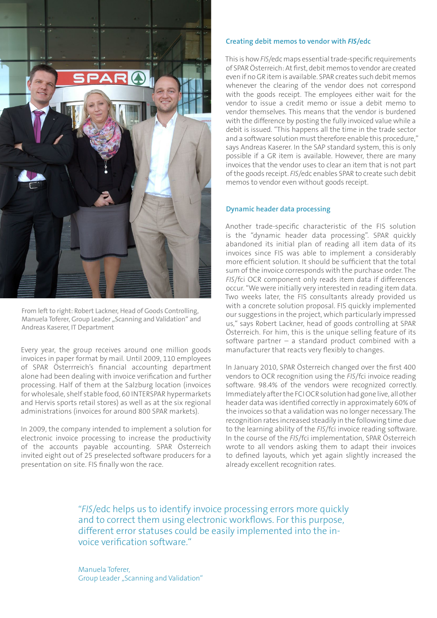

From left to right: Robert Lackner, Head of Goods Controlling, Manuela Toferer, Group Leader ..Scanning and Validation" and Andreas Kaserer, IT Department

Every year, the group receives around one million goods invoices in paper format by mail. Until 2009, 110 employees of SPAR Österrreich's financial accounting department alone had been dealing with invoice verification and further processing. Half of them at the Salzburg location (invoices for wholesale, shelf stable food, 60 INTERSPAR hypermarkets and Hervis sports retail stores) as well as at the six regional administrations (invoices for around 800 SPAR markets).

In 2009, the company intended to implement a solution for electronic invoice processing to increase the productivity of the accounts payable accounting. SPAR Österreich invited eight out of 25 preselected software producers for a presentation on site. FIS finally won the race.

# **Creating debit memos to vendor with** *FIS***/edc**

This is how *FIS*/edc maps essential trade-specific requirements of SPAR Österreich: At first, debit memos to vendor are created even if no GR item is available. SPAR creates such debit memos whenever the clearing of the vendor does not correspond with the goods receipt. The employees either wait for the vendor to issue a credit memo or issue a debit memo to vendor themselves. This means that the vendor is burdened with the difference by posting the fully invoiced value while a debit is issued. "This happens all the time in the trade sector and a software solution must therefore enable this procedure," says Andreas Kaserer. In the SAP standard system, this is only possible if a GR item is available. However, there are many invoices that the vendor uses to clear an item that is not part of the goods receipt. *FIS*/edc enables SPAR to create such debit memos to vendor even without goods receipt.

# **Dynamic header data processing**

Another trade-specific characteristic of the FIS solution is the "dynamic header data processing". SPAR quickly abandoned its initial plan of reading all item data of its invoices since FIS was able to implement a considerably more efficient solution. It should be sufficient that the total sum of the invoice corresponds with the purchase order. The *FIS*/fci OCR component only reads item data if differences occur. "We were initially very interested in reading item data. Two weeks later, the FIS consultants already provided us with a concrete solution proposal. FIS quickly implemented our suggestions in the project, which particularly impressed us," says Robert Lackner, head of goods controlling at SPAR Österreich. For him, this is the unique selling feature of its software partner  $-$  a standard product combined with a manufacturer that reacts very flexibly to changes.

In January 2010, SPAR Österreich changed over the first 400 vendors to OCR recognition using the *FIS*/fci invoice reading software. 98.4% of the vendors were recognized correctly. Immediately after the FCI OCR solution had gone live, all other header data was identified correctly in approximately 60% of the invoices so that a validation was no longer necessary. The recognition rates increased steadily in the following time due to the learning ability of the *FIS*/fci invoice reading software. In the course of the *FIS*/fci implementation, SPAR Österreich wrote to all vendors asking them to adapt their invoices to defined layouts, which yet again slightly increased the already excellent recognition rates.

"*FIS*/edc helps us to identify invoice processing errors more quickly and to correct them using electronic workflows. For this purpose, different error statuses could be easily implemented into the invoice verification software."

Manuela Toferer, Group Leader "Scanning and Validation"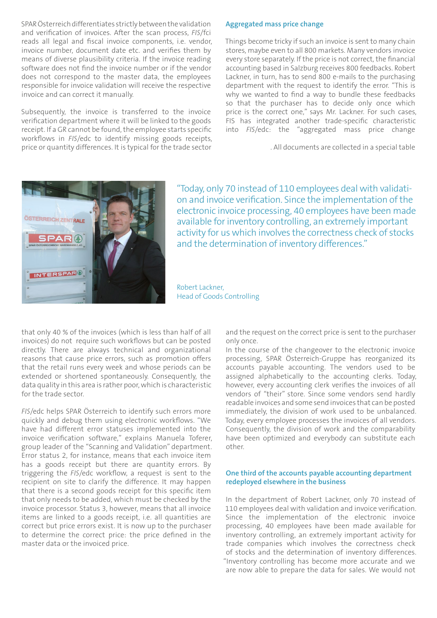SPAR Österreich differentiates strictly between the validation and verification of invoices. After the scan process, *FIS*/fci reads all legal and fiscal invoice components, i.e. vendor, invoice number, document date etc. and verifies them by means of diverse plausibility criteria. If the invoice reading software does not find the invoice number or if the vendor does not correspond to the master data, the employees responsible for invoice validation will receive the respective invoice and can correct it manually.

Subsequently, the invoice is transferred to the invoice verification department where it will be linked to the goods receipt. If a GR cannot be found, the employee starts specific workflows in *FIS*/edc to identify missing goods receipts, price or quantity differences. It is typical for the trade sector

#### **Aggregated mass price change**

Things become tricky if such an invoice is sent to many chain stores, maybe even to all 800 markets. Many vendors invoice every store separately. If the price is not correct, the financial accounting based in Salzburg receives 800 feedbacks. Robert Lackner, in turn, has to send 800 e-mails to the purchasing department with the request to identify the error. "This is why we wanted to find a way to bundle these feedbacks so that the purchaser has to decide only once which price is the correct one," says Mr. Lackner. For such cases, FIS has integrated another trade-specific characteristic into *FIS*/edc: the "aggregated mass price change

. All documents are collected in a special table



"Today, only 70 instead of 110 employees deal with validation and invoice verification. Since the implementation of the electronic invoice processing, 40 employees have been made available for inventory controlling, an extremely important activity for us which involves the correctness check of stocks and the determination of inventory differences."

Robert Lackner, Head of Goods Controlling

that only 40 % of the invoices (which is less than half of all invoices) do not require such workflows but can be posted directly. There are always technical and organizational reasons that cause price errors, such as promotion offers that the retail runs every week and whose periods can be extended or shortened spontaneously. Consequently, the data quality in this area is rather poor, which is characteristic for the trade sector.

*FIS*/edc helps SPAR Österreich to identify such errors more quickly and debug them using electronic workflows. "We have had different error statuses implemented into the invoice verification software," explains Manuela Toferer, group leader of the "Scanning and Validation" department. Error status 2, for instance, means that each invoice item has a goods receipt but there are quantity errors. By triggering the *FIS*/edc workflow, a request is sent to the recipient on site to clarify the difference. It may happen that there is a second goods receipt for this specific item that only needs to be added, which must be checked by the invoice processor. Status 3, however, means that all invoice items are linked to a goods receipt, i.e. all quantities are correct but price errors exist. It is now up to the purchaser to determine the correct price: the price defined in the master data or the invoiced price.

and the request on the correct price is sent to the purchaser only once.

In the course of the changeover to the electronic invoice processing, SPAR Österreich-Gruppe has reorganized its accounts payable accounting. The vendors used to be assigned alphabetically to the accounting clerks. Today, however, every accounting clerk verifies the invoices of all vendors of "their" store. Since some vendors send hardly readable invoices and some send invoices that can be posted immediately, the division of work used to be unbalanced. Today, every employee processes the invoices of all vendors. Consequently, the division of work and the comparability have been optimized and everybody can substitute each other.

# **One third of the accounts payable accounting department redeployed elsewhere in the business**

In the department of Robert Lackner, only 70 instead of 110 employees deal with validation and invoice verification. Since the implementation of the electronic invoice processing, 40 employees have been made available for inventory controlling, an extremely important activity for trade companies which involves the correctness check of stocks and the determination of inventory differences. "Inventory controlling has become more accurate and we are now able to prepare the data for sales. We would not